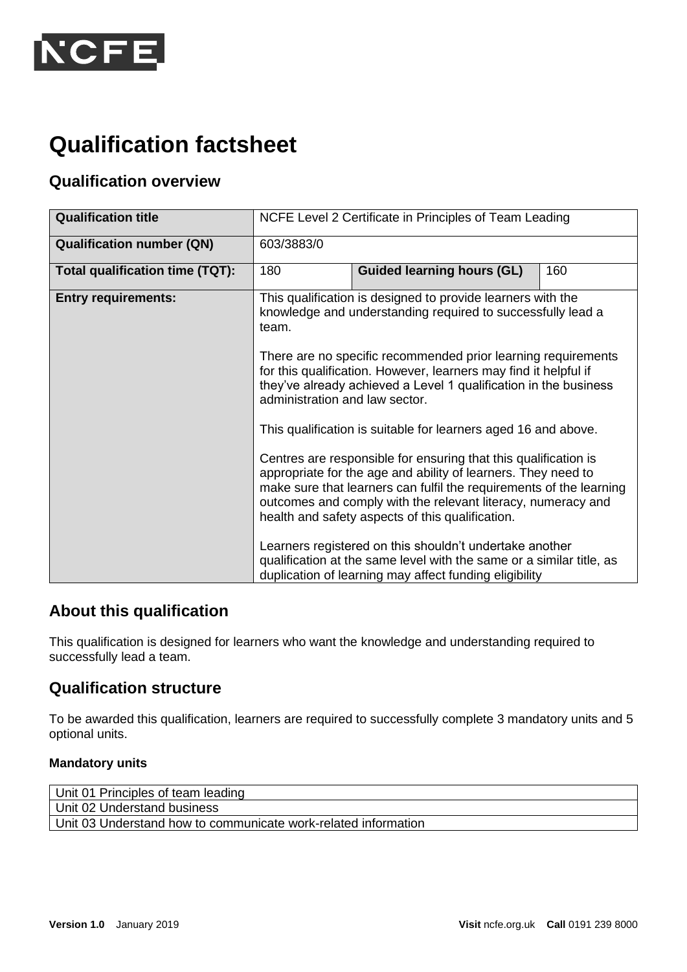

# **Qualification factsheet**

## **Qualification overview**

| <b>Qualification title</b>       | NCFE Level 2 Certificate in Principles of Team Leading                                                                         |                                                                                                                                                                                                                                                                                                                                                                                                                                                                                                                                                                                                                                                                                  |     |
|----------------------------------|--------------------------------------------------------------------------------------------------------------------------------|----------------------------------------------------------------------------------------------------------------------------------------------------------------------------------------------------------------------------------------------------------------------------------------------------------------------------------------------------------------------------------------------------------------------------------------------------------------------------------------------------------------------------------------------------------------------------------------------------------------------------------------------------------------------------------|-----|
| <b>Qualification number (QN)</b> | 603/3883/0                                                                                                                     |                                                                                                                                                                                                                                                                                                                                                                                                                                                                                                                                                                                                                                                                                  |     |
| Total qualification time (TQT):  | 180                                                                                                                            | <b>Guided learning hours (GL)</b>                                                                                                                                                                                                                                                                                                                                                                                                                                                                                                                                                                                                                                                | 160 |
| <b>Entry requirements:</b>       | team.<br>administration and law sector.                                                                                        | This qualification is designed to provide learners with the<br>knowledge and understanding required to successfully lead a<br>There are no specific recommended prior learning requirements<br>for this qualification. However, learners may find it helpful if<br>they've already achieved a Level 1 qualification in the business<br>This qualification is suitable for learners aged 16 and above.<br>Centres are responsible for ensuring that this qualification is<br>appropriate for the age and ability of learners. They need to<br>make sure that learners can fulfil the requirements of the learning<br>outcomes and comply with the relevant literacy, numeracy and |     |
|                                  |                                                                                                                                | health and safety aspects of this qualification.<br>Learners registered on this shouldn't undertake another                                                                                                                                                                                                                                                                                                                                                                                                                                                                                                                                                                      |     |
|                                  | qualification at the same level with the same or a similar title, as<br>duplication of learning may affect funding eligibility |                                                                                                                                                                                                                                                                                                                                                                                                                                                                                                                                                                                                                                                                                  |     |

## **About this qualification**

This qualification is designed for learners who want the knowledge and understanding required to successfully lead a team.

## **Qualification structure**

To be awarded this qualification, learners are required to successfully complete 3 mandatory units and 5 optional units.

#### **Mandatory units**

| Unit 01 Principles of team leading                             |
|----------------------------------------------------------------|
| Unit 02 Understand business                                    |
| Unit 03 Understand how to communicate work-related information |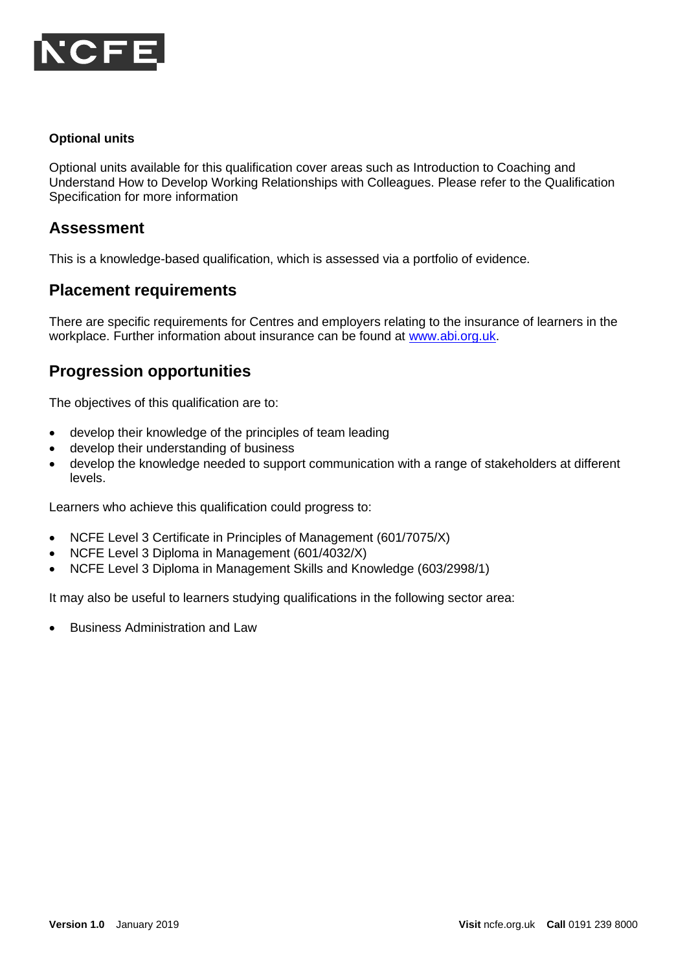

#### **Optional units**

Optional units available for this qualification cover areas such as Introduction to Coaching and Understand How to Develop Working Relationships with Colleagues. Please refer to the Qualification Specification for more information

### **Assessment**

This is a knowledge-based qualification, which is assessed via a portfolio of evidence.

#### **Placement requirements**

There are specific requirements for Centres and employers relating to the insurance of learners in the workplace. Further information about insurance can be found at [www.abi.org.uk.](www.abi.org.uk)

## **Progression opportunities**

The objectives of this qualification are to:

- develop their knowledge of the principles of team leading
- develop their understanding of business
- develop the knowledge needed to support communication with a range of stakeholders at different levels.

Learners who achieve this qualification could progress to:

- NCFE Level 3 Certificate in Principles of Management (601/7075/X)
- NCFE Level 3 Diploma in Management (601/4032/X)
- NCFE Level 3 Diploma in Management Skills and Knowledge (603/2998/1)

It may also be useful to learners studying qualifications in the following sector area:

• Business Administration and Law